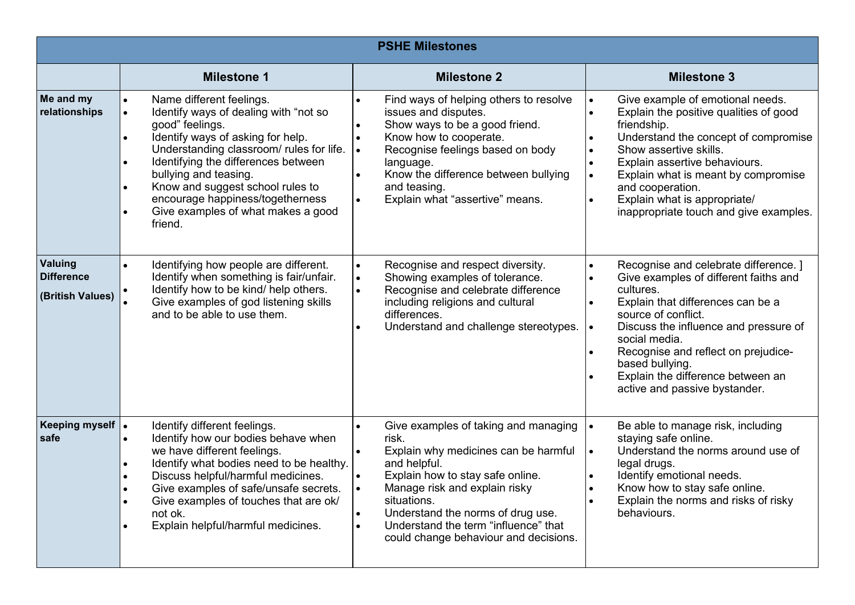| <b>PSHE Milestones</b>                           |                                                                                                                                                                                                                                                                                                                                                                                                       |                                                                                                                                                                                                                                                                                                                                                        |                                                                                                                                                                                                                                                                                                                                                                                                                              |  |
|--------------------------------------------------|-------------------------------------------------------------------------------------------------------------------------------------------------------------------------------------------------------------------------------------------------------------------------------------------------------------------------------------------------------------------------------------------------------|--------------------------------------------------------------------------------------------------------------------------------------------------------------------------------------------------------------------------------------------------------------------------------------------------------------------------------------------------------|------------------------------------------------------------------------------------------------------------------------------------------------------------------------------------------------------------------------------------------------------------------------------------------------------------------------------------------------------------------------------------------------------------------------------|--|
|                                                  | <b>Milestone 1</b>                                                                                                                                                                                                                                                                                                                                                                                    | <b>Milestone 2</b>                                                                                                                                                                                                                                                                                                                                     | <b>Milestone 3</b>                                                                                                                                                                                                                                                                                                                                                                                                           |  |
| Me and my<br>relationships                       | Name different feelings.<br>Identify ways of dealing with "not so<br>$\bullet$<br>good" feelings.<br>Identify ways of asking for help.<br>$\bullet$<br>Understanding classroom/ rules for life.<br>Identifying the differences between<br>bullying and teasing.<br>Know and suggest school rules to<br>encourage happiness/togetherness<br>Give examples of what makes a good<br>$\bullet$<br>friend. | Find ways of helping others to resolve<br>issues and disputes.<br>Show ways to be a good friend.<br>Know how to cooperate.<br>Recognise feelings based on body<br>$\bullet$<br>language.<br>Know the difference between bullying<br>and teasing.<br>Explain what "assertive" means.<br>$\bullet$                                                       | Give example of emotional needs.<br>$\bullet$<br>Explain the positive qualities of good<br>$\bullet$<br>friendship.<br>Understand the concept of compromise<br>$\bullet$<br>Show assertive skills.<br>$\bullet$<br>Explain assertive behaviours.<br>$\bullet$<br>Explain what is meant by compromise<br>$\bullet$<br>and cooperation.<br>Explain what is appropriate/<br>$\bullet$<br>inappropriate touch and give examples. |  |
| Valuing<br><b>Difference</b><br>(British Values) | Identifying how people are different.<br>$\bullet$<br>Identify when something is fair/unfair.<br>Identify how to be kind/ help others.<br>Give examples of god listening skills<br>and to be able to use them.                                                                                                                                                                                        | Recognise and respect diversity.<br>$\bullet$<br>Showing examples of tolerance.<br>$\bullet$<br>Recognise and celebrate difference<br>$\bullet$<br>including religions and cultural<br>differences.<br>Understand and challenge stereotypes.                                                                                                           | Recognise and celebrate difference. ]<br>$\bullet$<br>Give examples of different faiths and<br>$\bullet$<br>cultures.<br>Explain that differences can be a<br>$\bullet$<br>source of conflict.<br>Discuss the influence and pressure of<br>$\bullet$<br>social media.<br>Recognise and reflect on prejudice-<br>based bullying.<br>Explain the difference between an<br>active and passive bystander.                        |  |
| <b>Keeping myself</b><br>safe                    | Identify different feelings.<br>Identify how our bodies behave when<br>we have different feelings.<br>Identify what bodies need to be healthy.<br>Discuss helpful/harmful medicines.<br>Give examples of safe/unsafe secrets.<br>$\bullet$<br>Give examples of touches that are ok/<br>not ok.<br>Explain helpful/harmful medicines.                                                                  | Give examples of taking and managing<br>$\bullet$<br>risk.<br>Explain why medicines can be harmful<br>and helpful.<br>Explain how to stay safe online.<br>Manage risk and explain risky<br>situations.<br>Understand the norms of drug use.<br>$\bullet$<br>Understand the term "influence" that<br>$\bullet$<br>could change behaviour and decisions. | Be able to manage risk, including<br>$\bullet$<br>staying safe online.<br>Understand the norms around use of<br>$\bullet$<br>legal drugs.<br>Identify emotional needs.<br>$\bullet$<br>Know how to stay safe online.<br>$\bullet$<br>Explain the norms and risks of risky<br>behaviours.                                                                                                                                     |  |